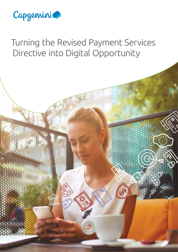

# Turning the Revised Payment Services Directive into Digital Opportunity

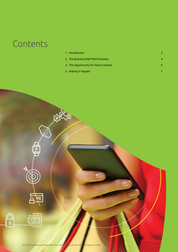# **Contents**

| 1. Introduction                       |  |
|---------------------------------------|--|
| 2. The Business Risk PSD2 Presents    |  |
| 3. The Opportunity for Value Creation |  |
| 4. Making it Happen                   |  |





∏<br>ह

EORNAL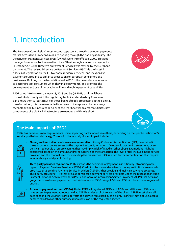## 1. Introduction

The European Commission's most recent steps toward creating an open payments market across the European Union are rippling through the banking industry. The Directive on Payment Services (PSD1), which went into effect in 2009, provided the legal foundation for the creation of an EU-wide single market for payments. In October 2015, the Directive on Payment Services was revised by the European parliament. The revised Directive on Payment Services (PSD2) is the latest in a series of legislation by the EU to enable modern, efficient, and inexpensive payment services and to enhance protection for European consumers and businesses. Building on the foundation laid in PSD1, the new rules are intended to better protect consumers when they make payments, and promote the development and use of innovative online and mobile payment capabilities.

PSD2 came into force on January 13, 2018 and by Q3 2019, banks will have to most likely comply with the regulatory technical standards by European Banking Authority (EBA RTS). For those banks already progressing in their digital transformation, this is a reasonable timeframe to incorporate the necessary technology and business change. For those that have yet to embrace digital, key components of a digital infrastructure are needed and time is short.





### The Main Impacts of PSD2

PSD2 has numerous new requirements, some impacting banks more than others, depending on the specific institution's service portfolio and strategy. Three with the most significant impact include:



• **Strong authentication and secure communication:** Strong Customer Authentication (SCA) is required in three situations: online access to the payment account, initiation of electronic payment transactions, or actions carried out via a remote channel that may imply a risk of fraud or other abuse. Exemptions might be considered based on the amount and/or recurrence of the transaction, the level of risk involved in the service provided and the channel used for executing the transaction. SCA is a two-factor authentication that requires independency and dynamic linking.



• **Third party provider regulation:** PSD2 extends the definition of Payment Institution by introducing new types of Payment Services Providers (PSPs). Credit institutions and electronic money institutions are considered Account Servicing Payment Service Providers (ASPSPs) that provide and maintain payment accounts. Third-party providers (TPP) that are also considered payment-services providers under the regulation include Payment Initiation Service Providers (PISPs) and Account Information Service Providers (AISPs) that act as aggregators of customer payment accounts information. PSD2 brings AISPs and PISPs in the scope of regulated entities.



• **Access to payment account (XS2A):** Under PSD2 all registered PISPs and AISPs and all licensed PSPs are to have access to payment accounts held at ASPSPs under explicit consent of the client. ASPSP must share all data enabling the AISP or PISP to perform the service requested by the client. PISP/AISP may not use, access or store any data for other purposes than provision of the requested service.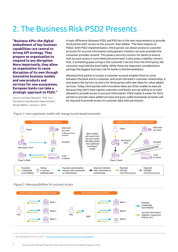## 2. The Business Risk PSD2 Presents

**"Business APIs–the digital embodiment of key business capabilities–are central to strong API strategy. They prepare an organization to respond to any disruption. More importantly, they allow an organization to cause disruption of its own through innovative business models and new products and services for new ecosystems. European banks can take a strategic approach to PSD2."**

*Source: Forrester Research: "APIs Turn Disruptions Into Business Opportunities", Randy Heffner, January 5, 2016.*

A main difference between PSD2 and PSD lies in the new requirements to provide third parties with 'access to the account' (see sidebar "The Main Impacts of PSD2). With PSD2 implementation, third parties can obtain access to customer accounts for account information and payment initiation services provided the consumer provides consent. This poses a security concern for banks to ensure that account access is controlled and authorized. It also poses a liability concern that, if something goes wrong in the customer's service from the third party, the consumer may hold the bank liable. While these are important considerations perhaps the biggest business risk for banks is disintermediation.

Allowing third parties to access a customer account enables them to come between the bank and its customer, and strain the bank's customer relationship. It also lowers the barriers to entry for third parties with new ideas for value-added services. Today, third parties with innovative ideas are often unable to execute because they don't have captive customers and banks are not willing to or even allowed to provide access to account information. PSD2 makes it easier for third parties to provide value-added services and grow viable businesses as banks will be required to provide access to customer data with permission.



#### Figure 1: How payments model will change (cards-based example)

#### Figure 2: New possibilities for account access



1 The Telegraph, March 26, 2017 "[This year 525 banks will shut: will yours disappear?](http://www.telegraph.co.uk/personal-banking/savings/year-525-banks-will-shut-will-disappear/)"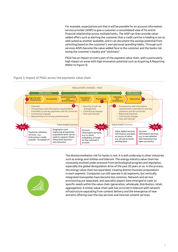For example, expectations are that it will be possible for an account information service provider (AISP) to give a customer a consolidated view of his entire financial relationship across multiple banks. The AISP can then provide valueadded offers such as alerting the customer that a credit card he is holding is not as well-suited as another available, and it can document the savings potential from switching based on the customer's own personal spending habits. Through such services AISPs become the value-added face to the customer and the banks risk losing the customer's loyalty and "stickiness".

PSD2 has an impact on every part of the payment value chain, with a particularly high impact on areas with high innovation potential such as Acquiring & Reporting (Refer to Figure 3).

#### Figure 3: Impact of PSD2 across the payments value chain





The disintermediation risk for banks is real. It is well underway in other industries such as energy and utilities and telecom. The energy industry value chain has constantly evolved under pressure from technological progress and regulation, especially the global deregulation drive of the past 20 years or so. In the process, the energy value chain has separated, creating distinct business propositions in each segment. Companies can still operate in all segments, but vertically integrated monopolies have become less common. Network and service provisioning are separated, and specialist players have emerged to cater to specific needs within the value chain (generation, wholesale, distribution, retail, aggregation). A similar value-chain split has occurred in telecom with network infrastructure separating from content delivery and the emergence of new entrants offering over-the-top services and Internet content services.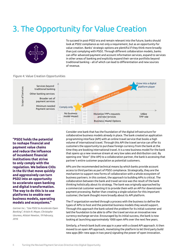## 3. The Opportunity for Value Creation



To succeed in post-PSD2 era and remain relevant into the future, banks should look at PSD2 compliance as not only a requirement, but as an opportunity for value creation. Banks' strategic options are plentiful if they think more broadly than just complying with PSD2. Through different collaboration models, banks can offer advanced payment and account information services, expand to services in other areas of banking and explicitly expand their service portfolio beyond traditional banking – all of which can lead to differentiation and new sources of revenue.

#### Figure 4: Value Creation Opportunities



**"PSD2 holds the potential to reshape financial and payment value chains and reduce the influence of incumbent financial institutions that strive to only comply with the regulation. We believe CIOs in the EU that move quickly and aggressively can turn PSD2 into an opportunity to accelerate open banking and digital transformation. The way to do this is to use platforms to enable new business models, operating models and ecosystems."**

*Gartner Inc.: "Use PSD2 to Accelerate Open Banking", Kristin R. Moyer, Christophe Uzureau, Alistair Newton, 19 February, 2016*

Consider one bank that has the foundation of the digital infrastructure for collaborative business models already in place. The bank created an application programming interface (API) with an online travel service that books a high volume of international travel. Through this API the travel service can offer its customers the opportunity to purchase foreign currency from the bank at the time they are booking international travel. It is a new business model for the bank that opens up a new revenue stream at very low sales and distribution cost. By opening one "door" (the API) to a collaboration partner, the bank is accessing that partner's entire customer population as potential customers.

APIs are the recommended technical means by which banks provide account access to third parties as part of PSD2 compliance. Strategically, they are the mechanism to support new forms of collaboration with a whole ecosystem of business partners. In this context, the approach to building APIs is critical. The collaboration between the bank and travel service was the result of the bank thinking holistically about its strategy. The bank was originally approached by a commercial customer wanting it to provide them with an API for downstream payment processing. Rather than creating a single solution for this important customer, the bank thought more broadly about its API platform.

The IT organization worked through a process with the business to define the types of APIs to host and the potential business models they would support. Through this approach the bank solved the problem for its initial customer and laid the foundation to be able to offer the travel service an innovative new currency-exchange service. Encouraged by its initial success, the bank is now looking at launching approximately 1000 open APIs over the next few years.

Similarly, a French bank built one app in a year with a closed API approach. It then moved to an open API approach, monetizing the platform to let third party build new apps (80+ new apps in two years) signaling the power of open innovation.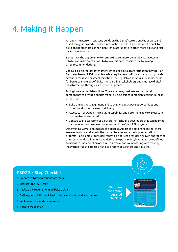## 4. Making it Happen

An open API platform strategy builds on the banks' core strengths of trust and brand recognition and customer information assets. It also allows the bank to build on the strengths of non-bank innovators that are often more agile and fastpaced in innovation.

Banks have the opportunity to turn a PSD2 regulatory-compliance investment into business differentiation. To follow this path, consider the following three recommendations.

Capitalizing on regulatory momentum to get digital transformation moving. For European banks, PSD2 compliance is a requirement. APIs are the path to provide account access and payment initiation. The regulation serves as the momentum for banks to move out of digital inertia, align stakeholders and embrace digital transformation through a structured approach.

Taking three immediate actions. There are many business and technical components to driving benefits from PSD2. Consider immediate actions in these three areas:

- Build the business alignment and strategy to anticipate opportunities and threats and to define new positioning.
- Assess current Open API program capability and determine how to execute in the timeframes required.
- Construct an ecosystem of partners, FinTechs and developers that can help the bank evolve new business models around the Open API program.

Determining ways to accelerate the process. Across the actions required, there are mechanisms available in the market to accelerate the implementation program. For example, consider: following a service provider's proven approach to bring stakeholder alignment and define new positioning; leveraging pre-defined solutions to implement an open API platform; and collaborating with existing Innovation Hubs to access a rich eco-system of partners and FinTechs.

### PSD2 Six-Step Checklist

- 1. Prepare by forming your dream team
- 2. Interpret the PSD2 text
- 3. Analyze the requirements to build a plan
- 4. Define your solution which will include multiple parallel activities
- 5. Implement, test and communicate
- 6. Align to the market

Click here for a more detailed checklist